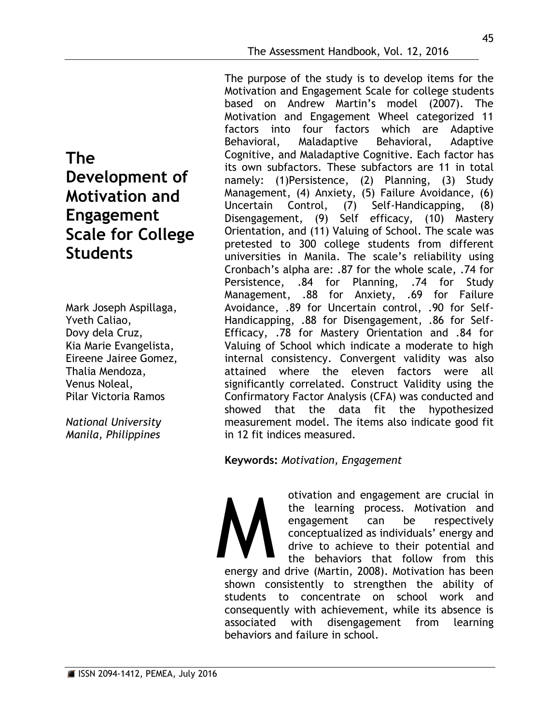**The Development of Motivation and Engagement Scale for College Students**

Mark Joseph Aspillaga, Yveth Caliao, Dovy dela Cruz, Kia Marie Evangelista, Eireene Jairee Gomez, Thalia Mendoza, Venus Noleal, Pilar Victoria Ramos

*National University Manila, Philippines*

The purpose of the study is to develop items for the Motivation and Engagement Scale for college students based on Andrew Martin's model (2007). The Motivation and Engagement Wheel categorized 11 factors into four factors which are Adaptive Behavioral, Maladaptive Behavioral, Adaptive Cognitive, and Maladaptive Cognitive. Each factor has its own subfactors. These subfactors are 11 in total namely: (1)Persistence, (2) Planning, (3) Study Management, (4) Anxiety, (5) Failure Avoidance, (6) Uncertain Control, (7) Self-Handicapping, (8) Disengagement, (9) Self efficacy, (10) Mastery Orientation, and (11) Valuing of School. The scale was pretested to 300 college students from different universities in Manila. The scale's reliability using Cronbach's alpha are: .87 for the whole scale, .74 for Persistence, .84 for Planning, .74 for Study Management, .88 for Anxiety, .69 for Failure Avoidance, .89 for Uncertain control, .90 for Self-Handicapping, .88 for Disengagement, .86 for Self-Efficacy, .78 for Mastery Orientation and .84 for Valuing of School which indicate a moderate to high internal consistency. Convergent validity was also attained where the eleven factors were all significantly correlated. Construct Validity using the Confirmatory Factor Analysis (CFA) was conducted and showed that the data fit the hypothesized measurement model. The items also indicate good fit in 12 fit indices measured.

**Keywords:** *Motivation, Engagement*

otivation and engagement are crucial in the learning process. Motivation and engagement can be respectively conceptualized as individuals' energy and drive to achieve to their potential and the behaviors that follow from this energy and drive (Martin, 2008). Motivation has been shown consistently to strengthen the ability of students to concentrate on school work and consequently with achievement, while its absence is associated with disengagement from learning behaviors and failure in school. M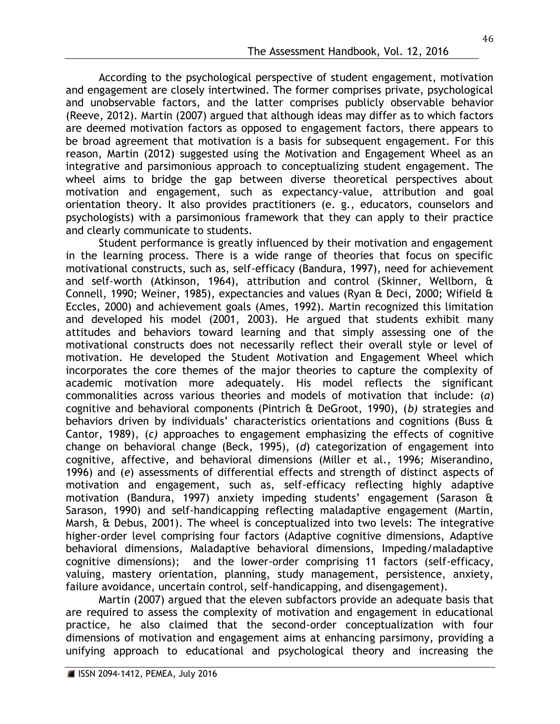According to the psychological perspective of student engagement, motivation and engagement are closely intertwined. The former comprises private, psychological and unobservable factors, and the latter comprises publicly observable behavior (Reeve, 2012). Martin (2007) argued that although ideas may differ as to which factors are deemed motivation factors as opposed to engagement factors, there appears to be broad agreement that motivation is a basis for subsequent engagement. For this reason, Martin (2012) suggested using the Motivation and Engagement Wheel as an integrative and parsimonious approach to conceptualizing student engagement. The wheel aims to bridge the gap between diverse theoretical perspectives about motivation and engagement, such as expectancy-value, attribution and goal orientation theory. It also provides practitioners (e. g., educators, counselors and psychologists) with a parsimonious framework that they can apply to their practice and clearly communicate to students.

Student performance is greatly influenced by their motivation and engagement in the learning process. There is a wide range of theories that focus on specific motivational constructs, such as, self-efficacy (Bandura, 1997), need for achievement and self-worth (Atkinson, 1964), attribution and control (Skinner, Wellborn, & Connell, 1990; Weiner, 1985), expectancies and values (Ryan & Deci, 2000; Wifield & Eccles, 2000) and achievement goals (Ames, 1992). Martin recognized this limitation and developed his model (2001, 2003). He argued that students exhibit many attitudes and behaviors toward learning and that simply assessing one of the motivational constructs does not necessarily reflect their overall style or level of motivation. He developed the Student Motivation and Engagement Wheel which incorporates the core themes of the major theories to capture the complexity of academic motivation more adequately. His model reflects the significant commonalities across various theories and models of motivation that include: (*a*) cognitive and behavioral components (Pintrich & DeGroot, 1990), (*b)* strategies and behaviors driven by individuals' characteristics orientations and cognitions (Buss & Cantor, 1989), (*c)* approaches to engagement emphasizing the effects of cognitive change on behavioral change (Beck, 1995), (*d*) categorization of engagement into cognitive, affective, and behavioral dimensions (Miller et al., 1996; Miserandino, 1996) and (*e*) assessments of differential effects and strength of distinct aspects of motivation and engagement, such as, self-efficacy reflecting highly adaptive motivation (Bandura, 1997) anxiety impeding students' engagement (Sarason & Sarason, 1990) and self-handicapping reflecting maladaptive engagement (Martin, Marsh, & Debus, 2001). The wheel is conceptualized into two levels: The integrative higher-order level comprising four factors (Adaptive cognitive dimensions, Adaptive behavioral dimensions, Maladaptive behavioral dimensions, Impeding/maladaptive cognitive dimensions); and the lower-order comprising 11 factors (self-efficacy, valuing, mastery orientation, planning, study management, persistence, anxiety, failure avoidance, uncertain control, self-handicapping, and disengagement).

Martin (2007) argued that the eleven subfactors provide an adequate basis that are required to assess the complexity of motivation and engagement in educational practice, he also claimed that the second-order conceptualization with four dimensions of motivation and engagement aims at enhancing parsimony, providing a unifying approach to educational and psychological theory and increasing the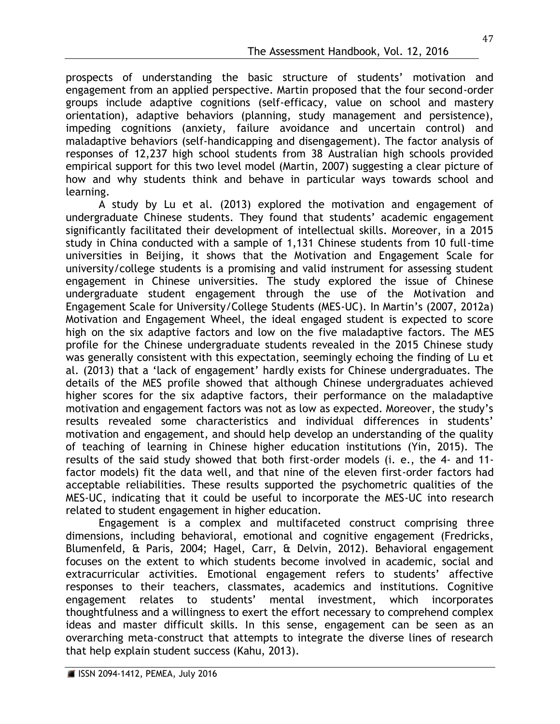prospects of understanding the basic structure of students' motivation and engagement from an applied perspective. Martin proposed that the four second-order groups include adaptive cognitions (self-efficacy, value on school and mastery orientation), adaptive behaviors (planning, study management and persistence), impeding cognitions (anxiety, failure avoidance and uncertain control) and maladaptive behaviors (self-handicapping and disengagement). The factor analysis of responses of 12,237 high school students from 38 Australian high schools provided empirical support for this two level model (Martin, 2007) suggesting a clear picture of how and why students think and behave in particular ways towards school and learning.

A study by Lu et al. (2013) explored the motivation and engagement of undergraduate Chinese students. They found that students' academic engagement significantly facilitated their development of intellectual skills. Moreover, in a 2015 study in China conducted with a sample of 1,131 Chinese students from 10 full-time universities in Beijing, it shows that the Motivation and Engagement Scale for university/college students is a promising and valid instrument for assessing student engagement in Chinese universities. The study explored the issue of Chinese undergraduate student engagement through the use of the Motivation and Engagement Scale for University/College Students (MES-UC). In Martin's (2007, 2012a) Motivation and Engagement Wheel, the ideal engaged student is expected to score high on the six adaptive factors and low on the five maladaptive factors. The MES profile for the Chinese undergraduate students revealed in the 2015 Chinese study was generally consistent with this expectation, seemingly echoing the finding of Lu et al. (2013) that a 'lack of engagement' hardly exists for Chinese undergraduates. The details of the MES profile showed that although Chinese undergraduates achieved higher scores for the six adaptive factors, their performance on the maladaptive motivation and engagement factors was not as low as expected. Moreover, the study's results revealed some characteristics and individual differences in students' motivation and engagement, and should help develop an understanding of the quality of teaching of learning in Chinese higher education institutions (Yin, 2015). The results of the said study showed that both first-order models (i. e., the 4- and 11 factor models) fit the data well, and that nine of the eleven first-order factors had acceptable reliabilities. These results supported the psychometric qualities of the MES-UC, indicating that it could be useful to incorporate the MES-UC into research related to student engagement in higher education.

Engagement is a complex and multifaceted construct comprising three dimensions, including behavioral, emotional and cognitive engagement (Fredricks, Blumenfeld, & Paris, 2004; Hagel, Carr, & Delvin, 2012). Behavioral engagement focuses on the extent to which students become involved in academic, social and extracurricular activities. Emotional engagement refers to students' affective responses to their teachers, classmates, academics and institutions. Cognitive engagement relates to students' mental investment, which incorporates thoughtfulness and a willingness to exert the effort necessary to comprehend complex ideas and master difficult skills. In this sense, engagement can be seen as an overarching meta-construct that attempts to integrate the diverse lines of research that help explain student success (Kahu, 2013).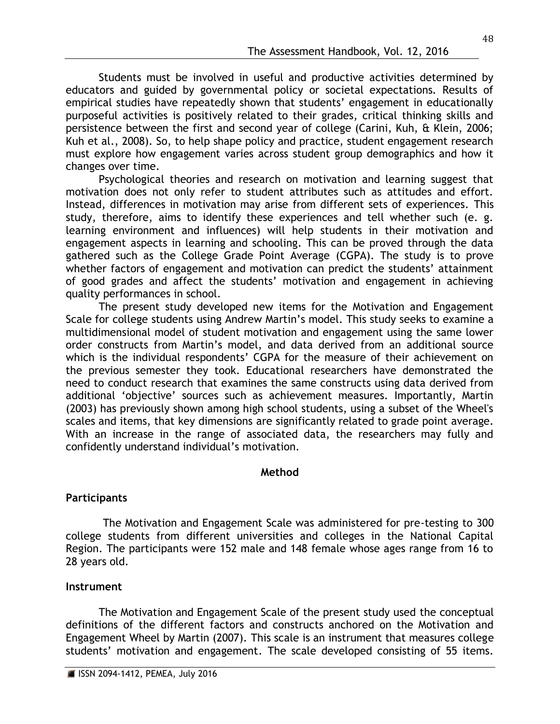Students must be involved in useful and productive activities determined by educators and guided by governmental policy or societal expectations. Results of empirical studies have repeatedly shown that students' engagement in educationally purposeful activities is positively related to their grades, critical thinking skills and persistence between the first and second year of college (Carini, Kuh, & Klein, 2006; Kuh et al., 2008). So, to help shape policy and practice, student engagement research must explore how engagement varies across student group demographics and how it changes over time.

Psychological theories and research on motivation and learning suggest that motivation does not only refer to student attributes such as attitudes and effort. Instead, differences in motivation may arise from different sets of experiences. This study, therefore, aims to identify these experiences and tell whether such (e. g. learning environment and influences) will help students in their motivation and engagement aspects in learning and schooling. This can be proved through the data gathered such as the College Grade Point Average (CGPA). The study is to prove whether factors of engagement and motivation can predict the students' attainment of good grades and affect the students' motivation and engagement in achieving quality performances in school.

The present study developed new items for the Motivation and Engagement Scale for college students using Andrew Martin's model. This study seeks to examine a multidimensional model of student motivation and engagement using the same lower order constructs from Martin's model, and data derived from an additional source which is the individual respondents' CGPA for the measure of their achievement on the previous semester they took. Educational researchers have demonstrated the need to conduct research that examines the same constructs using data derived from additional 'objective' sources such as achievement measures. Importantly, Martin (2003) has previously shown among high school students, using a subset of the Wheel's scales and items, that key dimensions are significantly related to grade point average. With an increase in the range of associated data, the researchers may fully and confidently understand individual's motivation.

# **Method**

# **Participants**

The Motivation and Engagement Scale was administered for pre-testing to 300 college students from different universities and colleges in the National Capital Region. The participants were 152 male and 148 female whose ages range from 16 to 28 years old.

## **Instrument**

The Motivation and Engagement Scale of the present study used the conceptual definitions of the different factors and constructs anchored on the Motivation and Engagement Wheel by Martin (2007). This scale is an instrument that measures college students' motivation and engagement. The scale developed consisting of 55 items.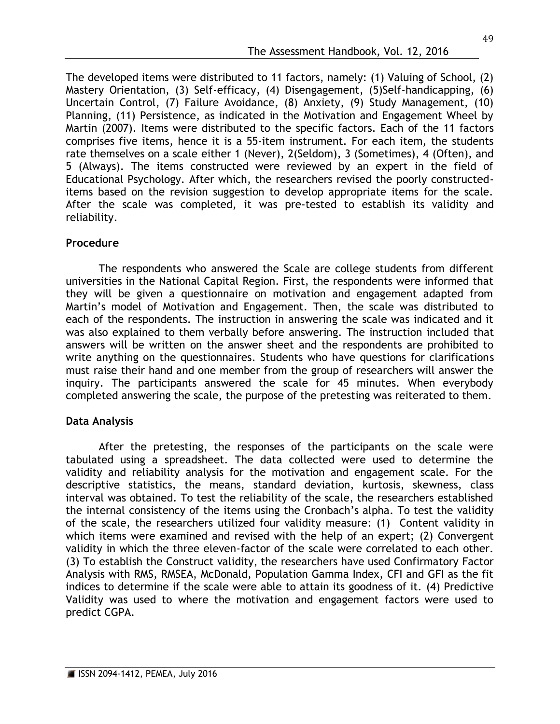The developed items were distributed to 11 factors, namely: (1) Valuing of School, (2) Mastery Orientation, (3) Self-efficacy, (4) Disengagement, (5)Self-handicapping, (6) Uncertain Control, (7) Failure Avoidance, (8) Anxiety, (9) Study Management, (10) Planning, (11) Persistence, as indicated in the Motivation and Engagement Wheel by Martin (2007). Items were distributed to the specific factors. Each of the 11 factors comprises five items, hence it is a 55-item instrument. For each item, the students rate themselves on a scale either 1 (Never), 2(Seldom), 3 (Sometimes), 4 (Often), and 5 (Always). The items constructed were reviewed by an expert in the field of Educational Psychology. After which, the researchers revised the poorly constructeditems based on the revision suggestion to develop appropriate items for the scale. After the scale was completed, it was pre-tested to establish its validity and reliability.

# **Procedure**

The respondents who answered the Scale are college students from different universities in the National Capital Region. First, the respondents were informed that they will be given a questionnaire on motivation and engagement adapted from Martin's model of Motivation and Engagement. Then, the scale was distributed to each of the respondents. The instruction in answering the scale was indicated and it was also explained to them verbally before answering. The instruction included that answers will be written on the answer sheet and the respondents are prohibited to write anything on the questionnaires. Students who have questions for clarifications must raise their hand and one member from the group of researchers will answer the inquiry. The participants answered the scale for 45 minutes. When everybody completed answering the scale, the purpose of the pretesting was reiterated to them.

# **Data Analysis**

After the pretesting, the responses of the participants on the scale were tabulated using a spreadsheet. The data collected were used to determine the validity and reliability analysis for the motivation and engagement scale. For the descriptive statistics, the means, standard deviation, kurtosis, skewness, class interval was obtained. To test the reliability of the scale, the researchers established the internal consistency of the items using the Cronbach's alpha. To test the validity of the scale, the researchers utilized four validity measure: (1) Content validity in which items were examined and revised with the help of an expert; (2) Convergent validity in which the three eleven-factor of the scale were correlated to each other. (3) To establish the Construct validity, the researchers have used Confirmatory Factor Analysis with RMS, RMSEA, McDonald, Population Gamma Index, CFI and GFI as the fit indices to determine if the scale were able to attain its goodness of it. (4) Predictive Validity was used to where the motivation and engagement factors were used to predict CGPA.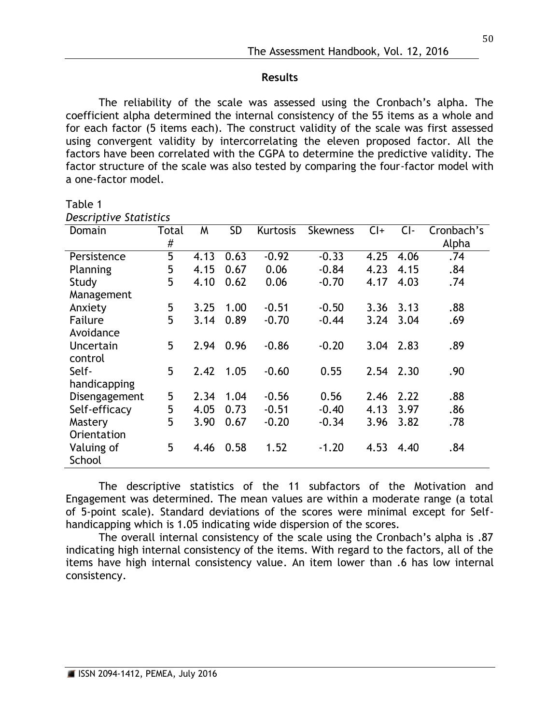## **Results**

The reliability of the scale was assessed using the Cronbach's alpha. The coefficient alpha determined the internal consistency of the 55 items as a whole and for each factor (5 items each). The construct validity of the scale was first assessed using convergent validity by intercorrelating the eleven proposed factor. All the factors have been correlated with the CGPA to determine the predictive validity. The factor structure of the scale was also tested by comparing the four-factor model with a one-factor model.

#### Table 1 *Descriptive Statistics*

| Domain        | Total | W    | <b>SD</b> | Kurtosis | <b>Skewness</b> | $Cl +$ | $Cl -$ | Cronbach's |
|---------------|-------|------|-----------|----------|-----------------|--------|--------|------------|
|               | #     |      |           |          |                 |        |        | Alpha      |
| Persistence   | 5     | 4.13 | 0.63      | $-0.92$  | $-0.33$         | 4.25   | 4.06   | .74        |
| Planning      | 5     | 4.15 | 0.67      | 0.06     | $-0.84$         | 4.23   | 4.15   | .84        |
| Study         | 5     | 4.10 | 0.62      | 0.06     | $-0.70$         | 4.17   | 4.03   | .74        |
| Management    |       |      |           |          |                 |        |        |            |
| Anxiety       | 5     | 3.25 | 1.00      | $-0.51$  | $-0.50$         | 3.36   | 3.13   | .88        |
| Failure       | 5     | 3.14 | 0.89      | $-0.70$  | $-0.44$         | 3.24   | 3.04   | .69        |
| Avoidance     |       |      |           |          |                 |        |        |            |
| Uncertain     | 5     | 2.94 | 0.96      | $-0.86$  | $-0.20$         | 3.04   | 2.83   | .89        |
| control       |       |      |           |          |                 |        |        |            |
| Self-         | 5     | 2.42 | 1.05      | $-0.60$  | 0.55            | 2.54   | 2.30   | .90        |
| handicapping  |       |      |           |          |                 |        |        |            |
| Disengagement | 5     | 2.34 | 1.04      | $-0.56$  | 0.56            | 2.46   | 2.22   | .88        |
| Self-efficacy | 5     | 4.05 | 0.73      | $-0.51$  | $-0.40$         | 4.13   | 3.97   | .86        |
| Mastery       | 5     | 3.90 | 0.67      | $-0.20$  | $-0.34$         | 3.96   | 3.82   | .78        |
| Orientation   |       |      |           |          |                 |        |        |            |
| Valuing of    | 5     | 4.46 | 0.58      | 1.52     | $-1.20$         | 4.53   | 4.40   | .84        |
| School        |       |      |           |          |                 |        |        |            |

The descriptive statistics of the 11 subfactors of the Motivation and Engagement was determined. The mean values are within a moderate range (a total of 5-point scale). Standard deviations of the scores were minimal except for Selfhandicapping which is 1.05 indicating wide dispersion of the scores.

The overall internal consistency of the scale using the Cronbach's alpha is .87 indicating high internal consistency of the items. With regard to the factors, all of the items have high internal consistency value. An item lower than .6 has low internal consistency.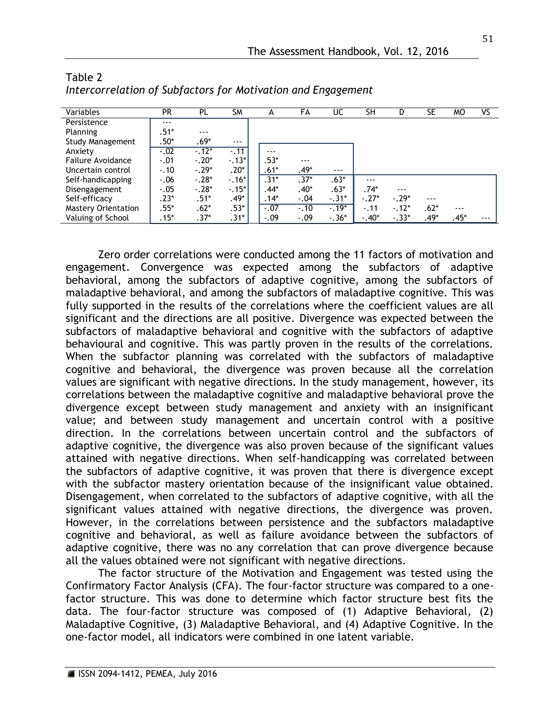| Variables                  | <b>PR</b> | PL      | <b>SM</b> | А      | FA      | UC       | <b>SH</b> | D       | SE      | MО      | ٧S      |
|----------------------------|-----------|---------|-----------|--------|---------|----------|-----------|---------|---------|---------|---------|
| Persistence                | $- - -$   |         |           |        |         |          |           |         |         |         |         |
| Planning                   | $.51*$    | $- - -$ |           |        |         |          |           |         |         |         |         |
| <b>Study Management</b>    | $.50^*$   | $.69*$  | $- - -$   |        |         |          |           |         |         |         |         |
| Anxiety                    | $-0.02$   | $-12*$  | $-.11$    | ---    |         |          |           |         |         |         |         |
| Failure Avoidance          | $-.01$    | $-.20*$ | $-13*$    | $.53*$ | $- - -$ |          |           |         |         |         |         |
| Uncertain control          | $-.10$    | $-.29*$ | $.20*$    | $.61*$ | $.49*$  | $- - -$  |           |         |         |         |         |
| Self-handicapping          | $-.06$    | $-.28*$ | $-16*$    | $.31*$ | $.37*$  | $.63*$   | $- - -$   |         |         |         |         |
| Disengagement              | $-.05$    | $-.28*$ | $-15$ *   | $.44*$ | $.40*$  | $.63*$   | $.74*$    | $- - -$ |         |         |         |
| Self-efficacy              | $.23*$    | $.51*$  | $.49*$    | $14*$  | $-.04$  | $-.31*$  | $-.27*$   | $-.29*$ | $- - -$ |         |         |
| <b>Mastery Orientation</b> | $.55*$    | $.62*$  | $.53*$    | $-.07$ | $-.10$  | $-0.19*$ | $-.11$    | $-12*$  | $.62*$  | $- - -$ |         |
| Valuing of School          | $.15*$    | $.37*$  | $.31*$    | $-.09$ | $-.09$  | $-.36*$  | $-.40*$   | $-.33*$ | $.49*$  | $.45*$  | $- - -$ |

| Table 2                                                      |  |  |  |
|--------------------------------------------------------------|--|--|--|
| Intercorrelation of Subfactors for Motivation and Engagement |  |  |  |

Zero order correlations were conducted among the 11 factors of motivation and engagement. Convergence was expected among the subfactors of adaptive behavioral, among the subfactors of adaptive cognitive, among the subfactors of maladaptive behavioral, and among the subfactors of maladaptive cognitive. This was fully supported in the results of the correlations where the coefficient values are all significant and the directions are all positive. Divergence was expected between the subfactors of maladaptive behavioral and cognitive with the subfactors of adaptive behavioural and cognitive. This was partly proven in the results of the correlations. When the subfactor planning was correlated with the subfactors of maladaptive cognitive and behavioral, the divergence was proven because all the correlation values are significant with negative directions. In the study management, however, its correlations between the maladaptive cognitive and maladaptive behavioral prove the divergence except between study management and anxiety with an insignificant value; and between study management and uncertain control with a positive direction. In the correlations between uncertain control and the subfactors of adaptive cognitive, the divergence was also proven because of the significant values attained with negative directions. When self-handicapping was correlated between the subfactors of adaptive cognitive, it was proven that there is divergence except with the subfactor mastery orientation because of the insignificant value obtained. Disengagement, when correlated to the subfactors of adaptive cognitive, with all the significant values attained with negative directions, the divergence was proven. However, in the correlations between persistence and the subfactors maladaptive cognitive and behavioral, as well as failure avoidance between the subfactors of adaptive cognitive, there was no any correlation that can prove divergence because all the values obtained were not significant with negative directions.

The factor structure of the Motivation and Engagement was tested using the Confirmatory Factor Analysis (CFA). The four-factor structure was compared to a onefactor structure. This was done to determine which factor structure best fits the data. The four-factor structure was composed of (1) Adaptive Behavioral, (2) Maladaptive Cognitive, (3) Maladaptive Behavioral, and (4) Adaptive Cognitive. In the one-factor model, all indicators were combined in one latent variable.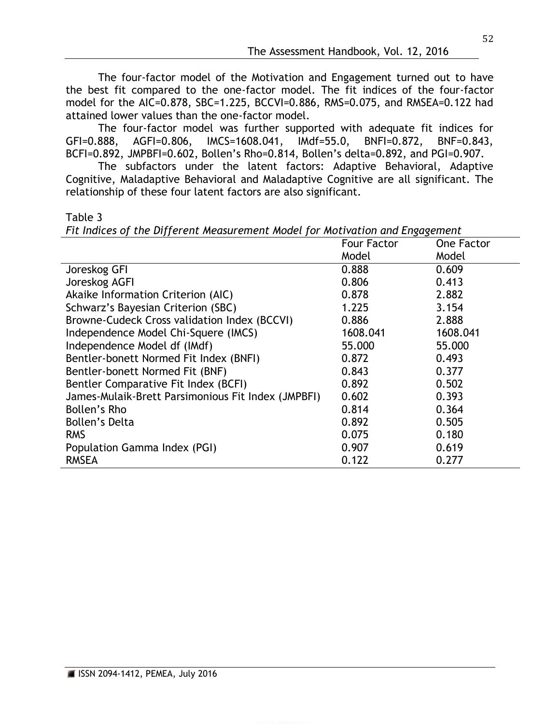The four-factor model of the Motivation and Engagement turned out to have the best fit compared to the one-factor model. The fit indices of the four-factor model for the AIC=0.878, SBC=1.225, BCCVI=0.886, RMS=0.075, and RMSEA=0.122 had attained lower values than the one-factor model.

The four-factor model was further supported with adequate fit indices for GFI=0.888, AGFI=0.806, IMCS=1608.041, IMdf=55.0, BNFI=0.872, BNF=0.843, BCFI=0.892, JMPBFI=0.602, Bollen's Rho=0.814, Bollen's delta=0.892, and PGI=0.907.

The subfactors under the latent factors: Adaptive Behavioral, Adaptive Cognitive, Maladaptive Behavioral and Maladaptive Cognitive are all significant. The relationship of these four latent factors are also significant.

Table 3

*Fit Indices of the Different Measurement Model for Motivation and Engagement*

|                                                    | <b>Four Factor</b> | <b>One Factor</b> |
|----------------------------------------------------|--------------------|-------------------|
|                                                    | Model              | Model             |
| Joreskog GFI                                       | 0.888              | 0.609             |
| Joreskog AGFI                                      | 0.806              | 0.413             |
| Akaike Information Criterion (AIC)                 | 0.878              | 2.882             |
| Schwarz's Bayesian Criterion (SBC)                 | 1.225              | 3.154             |
| Browne-Cudeck Cross validation Index (BCCVI)       | 0.886              | 2.888             |
| Independence Model Chi-Squere (IMCS)               | 1608.041           | 1608.041          |
| Independence Model df (IMdf)                       | 55.000             | 55.000            |
| Bentler-bonett Normed Fit Index (BNFI)             | 0.872              | 0.493             |
| Bentler-bonett Normed Fit (BNF)                    | 0.843              | 0.377             |
| Bentler Comparative Fit Index (BCFI)               | 0.892              | 0.502             |
| James-Mulaik-Brett Parsimonious Fit Index (JMPBFI) | 0.602              | 0.393             |
| Bollen's Rho                                       | 0.814              | 0.364             |
| <b>Bollen's Delta</b>                              | 0.892              | 0.505             |
| <b>RMS</b>                                         | 0.075              | 0.180             |
| Population Gamma Index (PGI)                       | 0.907              | 0.619             |
| <b>RMSEA</b>                                       | 0.122              | 0.277             |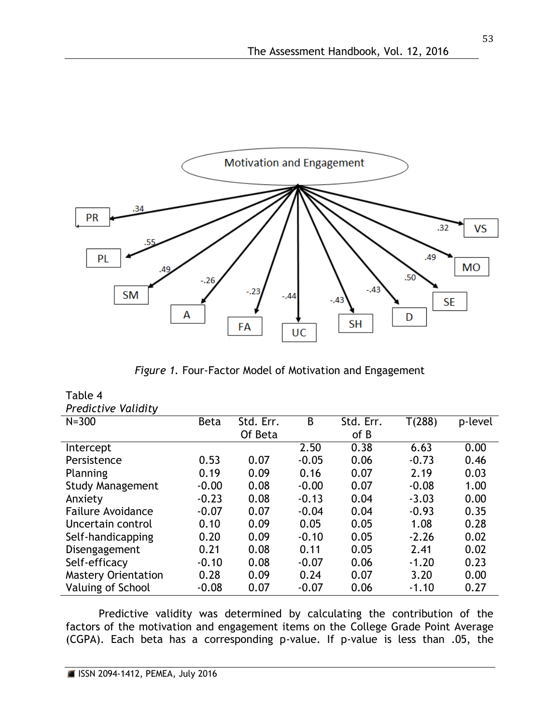

*Figure 1.* Four-Factor Model of Motivation and Engagement

| Table 4                    |             |           |         |           |         |         |
|----------------------------|-------------|-----------|---------|-----------|---------|---------|
| <b>Predictive Validity</b> |             |           |         |           |         |         |
| $N = 300$                  | <b>Beta</b> | Std. Err. | B       | Std. Err. | T(288)  | p-level |
|                            |             | Of Beta   |         | of B      |         |         |
| Intercept                  |             |           | 2.50    | 0.38      | 6.63    | 0.00    |
| Persistence                | 0.53        | 0.07      | $-0.05$ | 0.06      | $-0.73$ | 0.46    |
| Planning                   | 0.19        | 0.09      | 0.16    | 0.07      | 2.19    | 0.03    |
| <b>Study Management</b>    | $-0.00$     | 0.08      | $-0.00$ | 0.07      | $-0.08$ | 1.00    |
| Anxiety                    | $-0.23$     | 0.08      | $-0.13$ | 0.04      | $-3.03$ | 0.00    |
| <b>Failure Avoidance</b>   | $-0.07$     | 0.07      | $-0.04$ | 0.04      | $-0.93$ | 0.35    |
| Uncertain control          | 0.10        | 0.09      | 0.05    | 0.05      | 1.08    | 0.28    |
| Self-handicapping          | 0.20        | 0.09      | $-0.10$ | 0.05      | $-2.26$ | 0.02    |
| Disengagement              | 0.21        | 0.08      | 0.11    | 0.05      | 2.41    | 0.02    |
| Self-efficacy              | $-0.10$     | 0.08      | $-0.07$ | 0.06      | $-1.20$ | 0.23    |
| <b>Mastery Orientation</b> | 0.28        | 0.09      | 0.24    | 0.07      | 3.20    | 0.00    |
| Valuing of School          | $-0.08$     | 0.07      | $-0.07$ | 0.06      | $-1.10$ | 0.27    |

Predictive validity was determined by calculating the contribution of the factors of the motivation and engagement items on the College Grade Point Average (CGPA). Each beta has a corresponding p-value. If p-value is less than .05, the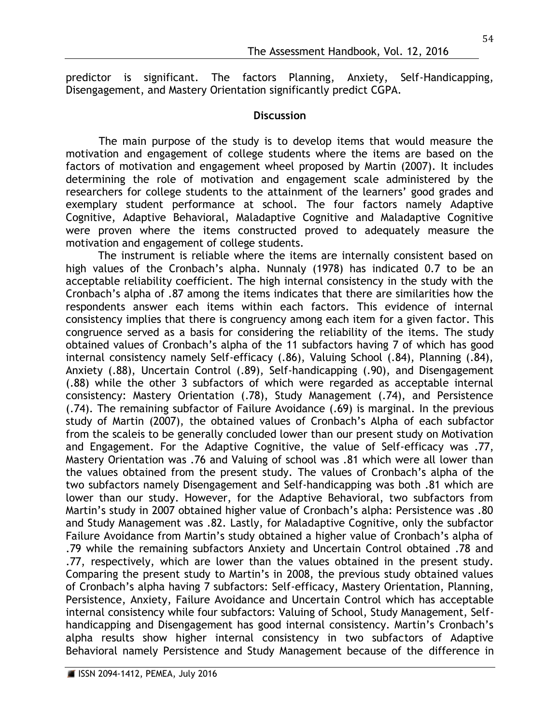predictor is significant. The factors Planning, Anxiety, Self-Handicapping, Disengagement, and Mastery Orientation significantly predict CGPA.

## **Discussion**

The main purpose of the study is to develop items that would measure the motivation and engagement of college students where the items are based on the factors of motivation and engagement wheel proposed by Martin (2007). It includes determining the role of motivation and engagement scale administered by the researchers for college students to the attainment of the learners' good grades and exemplary student performance at school. The four factors namely Adaptive Cognitive, Adaptive Behavioral, Maladaptive Cognitive and Maladaptive Cognitive were proven where the items constructed proved to adequately measure the motivation and engagement of college students.

The instrument is reliable where the items are internally consistent based on high values of the Cronbach's alpha. Nunnaly (1978) has indicated 0.7 to be an acceptable reliability coefficient. The high internal consistency in the study with the Cronbach's alpha of .87 among the items indicates that there are similarities how the respondents answer each items within each factors. This evidence of internal consistency implies that there is congruency among each item for a given factor. This congruence served as a basis for considering the reliability of the items. The study obtained values of Cronbach's alpha of the 11 subfactors having 7 of which has good internal consistency namely Self-efficacy (.86), Valuing School (.84), Planning (.84), Anxiety (.88), Uncertain Control (.89), Self-handicapping (.90), and Disengagement (.88) while the other 3 subfactors of which were regarded as acceptable internal consistency: Mastery Orientation (.78), Study Management (.74), and Persistence (.74). The remaining subfactor of Failure Avoidance (.69) is marginal. In the previous study of Martin (2007), the obtained values of Cronbach's Alpha of each subfactor from the scaleis to be generally concluded lower than our present study on Motivation and Engagement. For the Adaptive Cognitive, the value of Self-efficacy was .77, Mastery Orientation was .76 and Valuing of school was .81 which were all lower than the values obtained from the present study. The values of Cronbach's alpha of the two subfactors namely Disengagement and Self-handicapping was both .81 which are lower than our study. However, for the Adaptive Behavioral, two subfactors from Martin's study in 2007 obtained higher value of Cronbach's alpha: Persistence was .80 and Study Management was .82. Lastly, for Maladaptive Cognitive, only the subfactor Failure Avoidance from Martin's study obtained a higher value of Cronbach's alpha of .79 while the remaining subfactors Anxiety and Uncertain Control obtained .78 and .77, respectively, which are lower than the values obtained in the present study. Comparing the present study to Martin's in 2008, the previous study obtained values of Cronbach's alpha having 7 subfactors: Self-efficacy, Mastery Orientation, Planning, Persistence, Anxiety, Failure Avoidance and Uncertain Control which has acceptable internal consistency while four subfactors: Valuing of School, Study Management, Selfhandicapping and Disengagement has good internal consistency. Martin's Cronbach's alpha results show higher internal consistency in two subfactors of Adaptive Behavioral namely Persistence and Study Management because of the difference in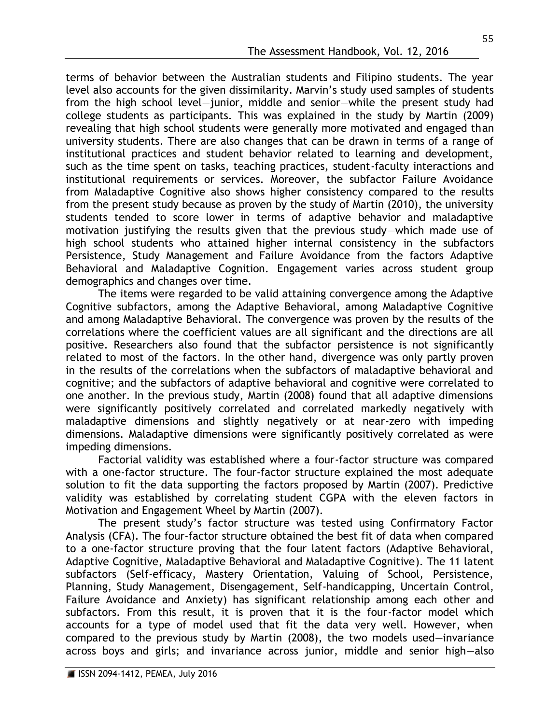terms of behavior between the Australian students and Filipino students. The year level also accounts for the given dissimilarity. Marvin's study used samples of students from the high school level—junior, middle and senior—while the present study had college students as participants. This was explained in the study by Martin (2009) revealing that high school students were generally more motivated and engaged than university students. There are also changes that can be drawn in terms of a range of institutional practices and student behavior related to learning and development, such as the time spent on tasks, teaching practices, student-faculty interactions and institutional requirements or services. Moreover, the subfactor Failure Avoidance from Maladaptive Cognitive also shows higher consistency compared to the results from the present study because as proven by the study of Martin (2010), the university students tended to score lower in terms of adaptive behavior and maladaptive motivation justifying the results given that the previous study—which made use of high school students who attained higher internal consistency in the subfactors Persistence, Study Management and Failure Avoidance from the factors Adaptive Behavioral and Maladaptive Cognition. Engagement varies across student group demographics and changes over time.

The items were regarded to be valid attaining convergence among the Adaptive Cognitive subfactors, among the Adaptive Behavioral, among Maladaptive Cognitive and among Maladaptive Behavioral. The convergence was proven by the results of the correlations where the coefficient values are all significant and the directions are all positive. Researchers also found that the subfactor persistence is not significantly related to most of the factors. In the other hand, divergence was only partly proven in the results of the correlations when the subfactors of maladaptive behavioral and cognitive; and the subfactors of adaptive behavioral and cognitive were correlated to one another. In the previous study, Martin (2008) found that all adaptive dimensions were significantly positively correlated and correlated markedly negatively with maladaptive dimensions and slightly negatively or at near-zero with impeding dimensions. Maladaptive dimensions were significantly positively correlated as were impeding dimensions.

Factorial validity was established where a four-factor structure was compared with a one-factor structure. The four-factor structure explained the most adequate solution to fit the data supporting the factors proposed by Martin (2007). Predictive validity was established by correlating student CGPA with the eleven factors in Motivation and Engagement Wheel by Martin (2007).

The present study's factor structure was tested using Confirmatory Factor Analysis (CFA). The four-factor structure obtained the best fit of data when compared to a one-factor structure proving that the four latent factors (Adaptive Behavioral, Adaptive Cognitive, Maladaptive Behavioral and Maladaptive Cognitive). The 11 latent subfactors (Self-efficacy, Mastery Orientation, Valuing of School, Persistence, Planning, Study Management, Disengagement, Self-handicapping, Uncertain Control, Failure Avoidance and Anxiety) has significant relationship among each other and subfactors. From this result, it is proven that it is the four-factor model which accounts for a type of model used that fit the data very well. However, when compared to the previous study by Martin (2008), the two models used—invariance across boys and girls; and invariance across junior, middle and senior high—also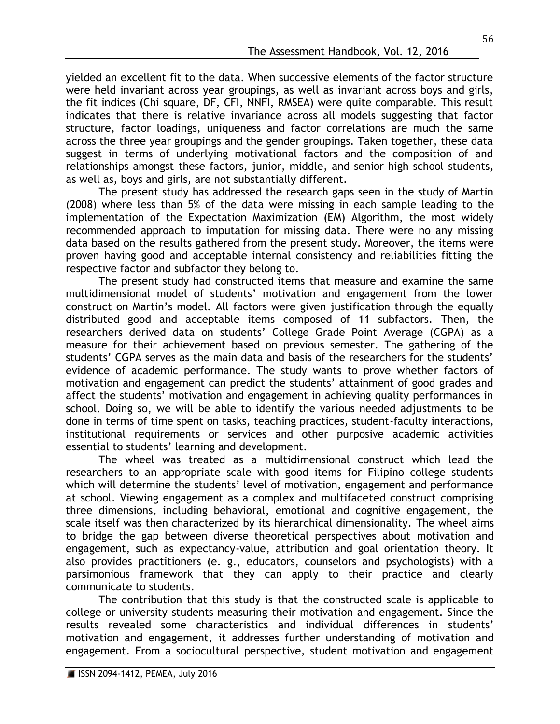yielded an excellent fit to the data. When successive elements of the factor structure were held invariant across year groupings, as well as invariant across boys and girls, the fit indices (Chi square, DF, CFI, NNFI, RMSEA) were quite comparable. This result indicates that there is relative invariance across all models suggesting that factor structure, factor loadings, uniqueness and factor correlations are much the same across the three year groupings and the gender groupings. Taken together, these data suggest in terms of underlying motivational factors and the composition of and relationships amongst these factors, junior, middle, and senior high school students, as well as, boys and girls, are not substantially different.

The present study has addressed the research gaps seen in the study of Martin (2008) where less than 5% of the data were missing in each sample leading to the implementation of the Expectation Maximization (EM) Algorithm, the most widely recommended approach to imputation for missing data. There were no any missing data based on the results gathered from the present study. Moreover, the items were proven having good and acceptable internal consistency and reliabilities fitting the respective factor and subfactor they belong to.

The present study had constructed items that measure and examine the same multidimensional model of students' motivation and engagement from the lower construct on Martin's model. All factors were given justification through the equally distributed good and acceptable items composed of 11 subfactors. Then, the researchers derived data on students' College Grade Point Average (CGPA) as a measure for their achievement based on previous semester. The gathering of the students' CGPA serves as the main data and basis of the researchers for the students' evidence of academic performance. The study wants to prove whether factors of motivation and engagement can predict the students' attainment of good grades and affect the students' motivation and engagement in achieving quality performances in school. Doing so, we will be able to identify the various needed adjustments to be done in terms of time spent on tasks, teaching practices, student-faculty interactions, institutional requirements or services and other purposive academic activities essential to students' learning and development.

The wheel was treated as a multidimensional construct which lead the researchers to an appropriate scale with good items for Filipino college students which will determine the students' level of motivation, engagement and performance at school. Viewing engagement as a complex and multifaceted construct comprising three dimensions, including behavioral, emotional and cognitive engagement, the scale itself was then characterized by its hierarchical dimensionality. The wheel aims to bridge the gap between diverse theoretical perspectives about motivation and engagement, such as expectancy-value, attribution and goal orientation theory. It also provides practitioners (e. g., educators, counselors and psychologists) with a parsimonious framework that they can apply to their practice and clearly communicate to students.

The contribution that this study is that the constructed scale is applicable to college or university students measuring their motivation and engagement. Since the results revealed some characteristics and individual differences in students' motivation and engagement, it addresses further understanding of motivation and engagement. From a sociocultural perspective, student motivation and engagement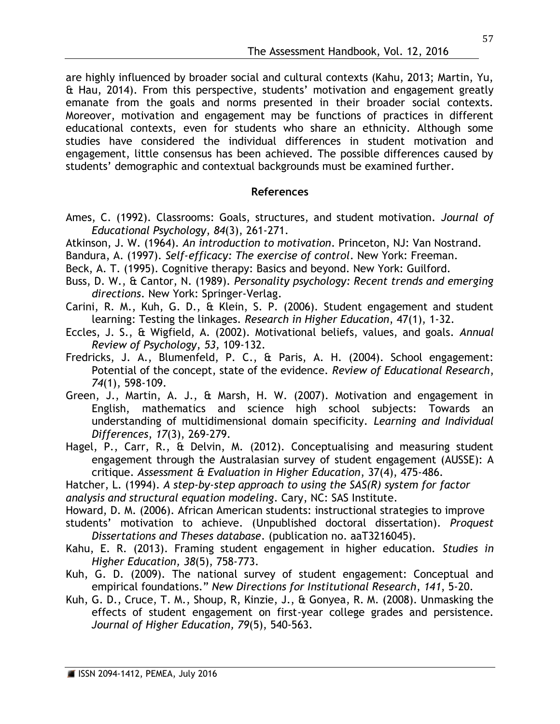are highly influenced by broader social and cultural contexts (Kahu, 2013; Martin, Yu, & Hau, 2014). From this perspective, students' motivation and engagement greatly emanate from the goals and norms presented in their broader social contexts. Moreover, motivation and engagement may be functions of practices in different educational contexts, even for students who share an ethnicity. Although some studies have considered the individual differences in student motivation and engagement, little consensus has been achieved. The possible differences caused by students' demographic and contextual backgrounds must be examined further.

## **References**

- Ames, C. (1992). Classrooms: Goals, structures, and student motivation. *Journal of Educational Psychology*, *84*(3), 261-271.
- Atkinson, J. W. (1964). *An introduction to motivation*. Princeton, NJ: Van Nostrand.
- Bandura, A. (1997). *Self-efficacy: The exercise of control*. New York: Freeman.
- Beck, A. T. (1995). Cognitive therapy: Basics and beyond. New York: Guilford.
- Buss, D. W., & Cantor, N. (1989). *Personality psychology: Recent trends and emerging directions*. New York: Springer-Verlag.
- Carini, R. M., Kuh, G. D., & Klein, S. P. (2006). Student engagement and student learning: Testing the linkages. *Research in Higher Education*, 47(1), 1-32.
- Eccles, J. S., & Wigfield, A. (2002). Motivational beliefs, values, and goals. *Annual Review of Psychology*, *53,* 109-132.
- Fredricks, J. A., Blumenfeld, P. C., & Paris, A. H. (2004). School engagement: Potential of the concept, state of the evidence. *Review of Educational Research*, *74*(1), 598-109.
- Green, J., Martin, A. J., & Marsh, H. W. (2007). Motivation and engagement in English, mathematics and science high school subjects: Towards an understanding of multidimensional domain specificity. *Learning and Individual Differences*, *17*(3), 269-279.
- Hagel, P., Carr, R., & Delvin, M. (2012). Conceptualising and measuring student engagement through the Australasian survey of student engagement (AUSSE): A critique. *Assessment & Evaluation in Higher Education*, 37(4), 475-486.
- Hatcher, L. (1994). *A step-by-step approach to using the SAS(R) system for factor analysis and structural equation modeling*. Cary, NC: SAS Institute.
- Howard, D. M. (2006). African American students: instructional strategies to improve
- students' motivation to achieve. (Unpublished doctoral dissertation). *Proquest Dissertations and Theses database*. (publication no. aaT3216045).
- Kahu, E. R. (2013). Framing student engagement in higher education. *Studies in Higher Education, 38*(5), 758-773.
- Kuh, G. D. (2009). The national survey of student engagement: Conceptual and empirical foundations." *New Directions for Institutional Research*, *141*, 5-20.
- Kuh, G. D., Cruce, T. M., Shoup, R, Kinzie, J., & Gonyea, R. M. (2008). Unmasking the effects of student engagement on first-year college grades and persistence. *Journal of Higher Education, 79*(5), 540-563.